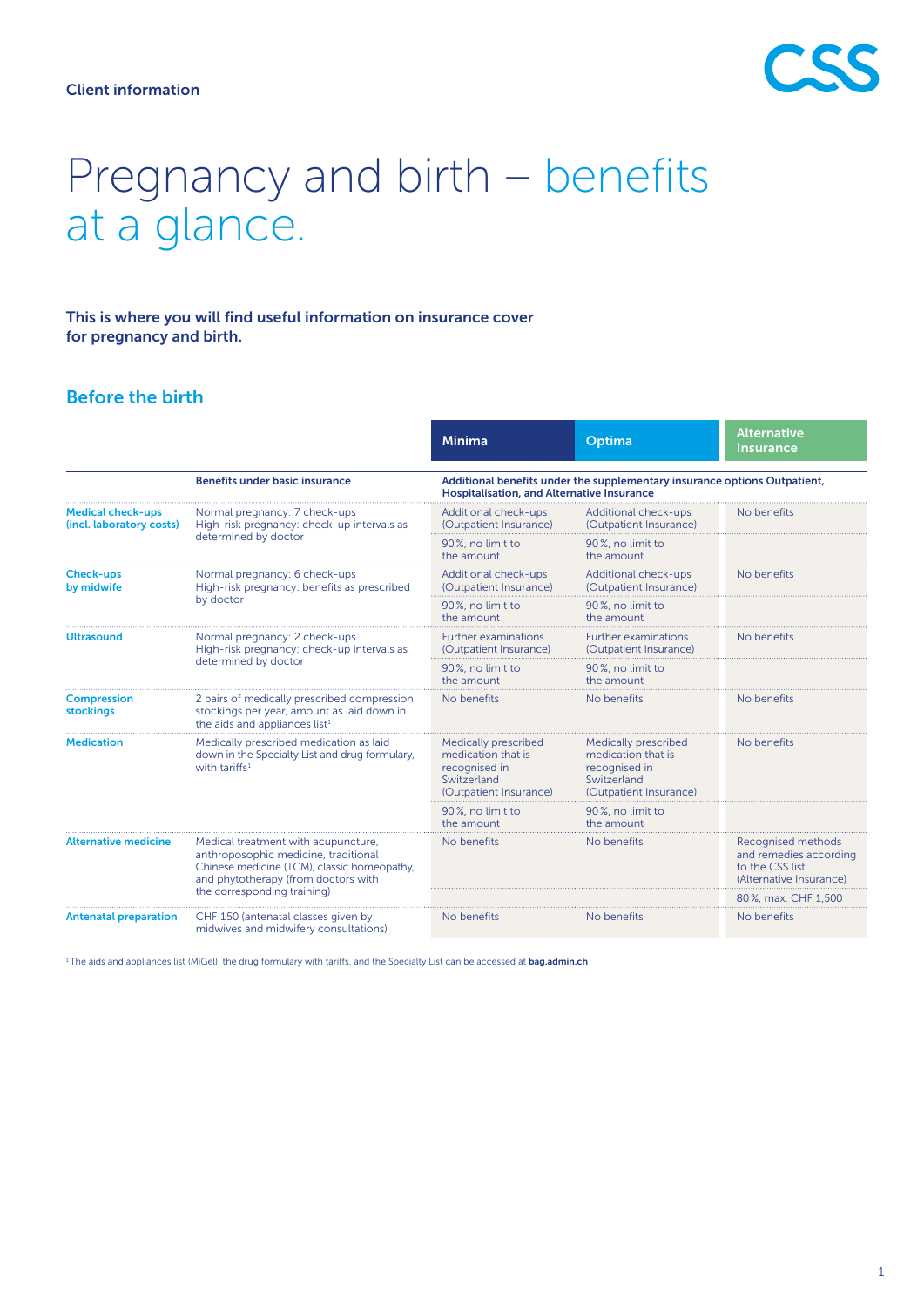# Pregnancy and birth – benefits at a glance.

This is where you will find useful information on insurance cover for pregnancy and birth.

## Before the birth

|                                                      |                                                                                                                                                                                                  | <b>Minima</b>                                                                                                                  | Optima                                                                                               | <b>Alternative</b><br><b>Insurance</b>                                                     |  |
|------------------------------------------------------|--------------------------------------------------------------------------------------------------------------------------------------------------------------------------------------------------|--------------------------------------------------------------------------------------------------------------------------------|------------------------------------------------------------------------------------------------------|--------------------------------------------------------------------------------------------|--|
|                                                      | <b>Benefits under basic insurance</b>                                                                                                                                                            | Additional benefits under the supplementary insurance options Outpatient,<br><b>Hospitalisation, and Alternative Insurance</b> |                                                                                                      |                                                                                            |  |
| <b>Medical check-ups</b><br>(incl. laboratory costs) | Normal pregnancy: 7 check-ups<br>High-risk pregnancy: check-up intervals as<br>determined by doctor                                                                                              | Additional check-ups<br>(Outpatient Insurance)                                                                                 | Additional check-ups<br>(Outpatient Insurance)                                                       | No benefits                                                                                |  |
|                                                      |                                                                                                                                                                                                  | 90%, no limit to<br>the amount                                                                                                 | 90%, no limit to<br>the amount                                                                       |                                                                                            |  |
| <b>Check-ups</b><br>by midwife                       | Normal pregnancy: 6 check-ups<br>High-risk pregnancy: benefits as prescribed<br>by doctor                                                                                                        | Additional check-ups<br>(Outpatient Insurance)                                                                                 | Additional check-ups<br>(Outpatient Insurance)                                                       | No benefits                                                                                |  |
|                                                      |                                                                                                                                                                                                  | 90%, no limit to<br>the amount                                                                                                 | 90%, no limit to<br>the amount                                                                       |                                                                                            |  |
| <b>Ultrasound</b>                                    | Normal pregnancy: 2 check-ups<br>High-risk pregnancy: check-up intervals as<br>determined by doctor                                                                                              | <b>Further examinations</b><br>(Outpatient Insurance)                                                                          | <b>Further examinations</b><br>(Outpatient Insurance)                                                | No benefits                                                                                |  |
|                                                      |                                                                                                                                                                                                  | 90%, no limit to<br>the amount                                                                                                 | 90%, no limit to<br>the amount                                                                       |                                                                                            |  |
| <b>Compression</b><br><b>stockings</b>               | 2 pairs of medically prescribed compression<br>stockings per year, amount as laid down in<br>the aids and appliances list <sup>1</sup>                                                           | No benefits                                                                                                                    | No benefits                                                                                          | No benefits                                                                                |  |
| <b>Medication</b>                                    | Medically prescribed medication as laid<br>down in the Specialty List and drug formulary,<br>with tariffs <sup>1</sup>                                                                           | Medically prescribed<br>medication that is<br>recognised in<br>Switzerland<br>(Outpatient Insurance)                           | Medically prescribed<br>medication that is<br>recognised in<br>Switzerland<br>(Outpatient Insurance) | No benefits                                                                                |  |
|                                                      |                                                                                                                                                                                                  | 90%, no limit to<br>the amount                                                                                                 | 90%, no limit to<br>the amount                                                                       |                                                                                            |  |
| <b>Alternative medicine</b>                          | Medical treatment with acupuncture,<br>anthroposophic medicine, traditional<br>Chinese medicine (TCM), classic homeopathy,<br>and phytotherapy (from doctors with<br>the corresponding training) | No benefits                                                                                                                    | No benefits                                                                                          | Recognised methods<br>and remedies according<br>to the CSS list<br>(Alternative Insurance) |  |
|                                                      |                                                                                                                                                                                                  |                                                                                                                                |                                                                                                      | 80%, max. CHF 1,500                                                                        |  |
| <b>Antenatal preparation</b>                         | CHF 150 (antenatal classes given by<br>midwives and midwifery consultations)                                                                                                                     | No benefits                                                                                                                    | No benefits                                                                                          | No benefits                                                                                |  |

<sup>1</sup> The aids and appliances list (MiGel), the drug formulary with tariffs, and the Specialty List can be accessed at **[bag.admin.ch](http://www.bag.admin.ch)**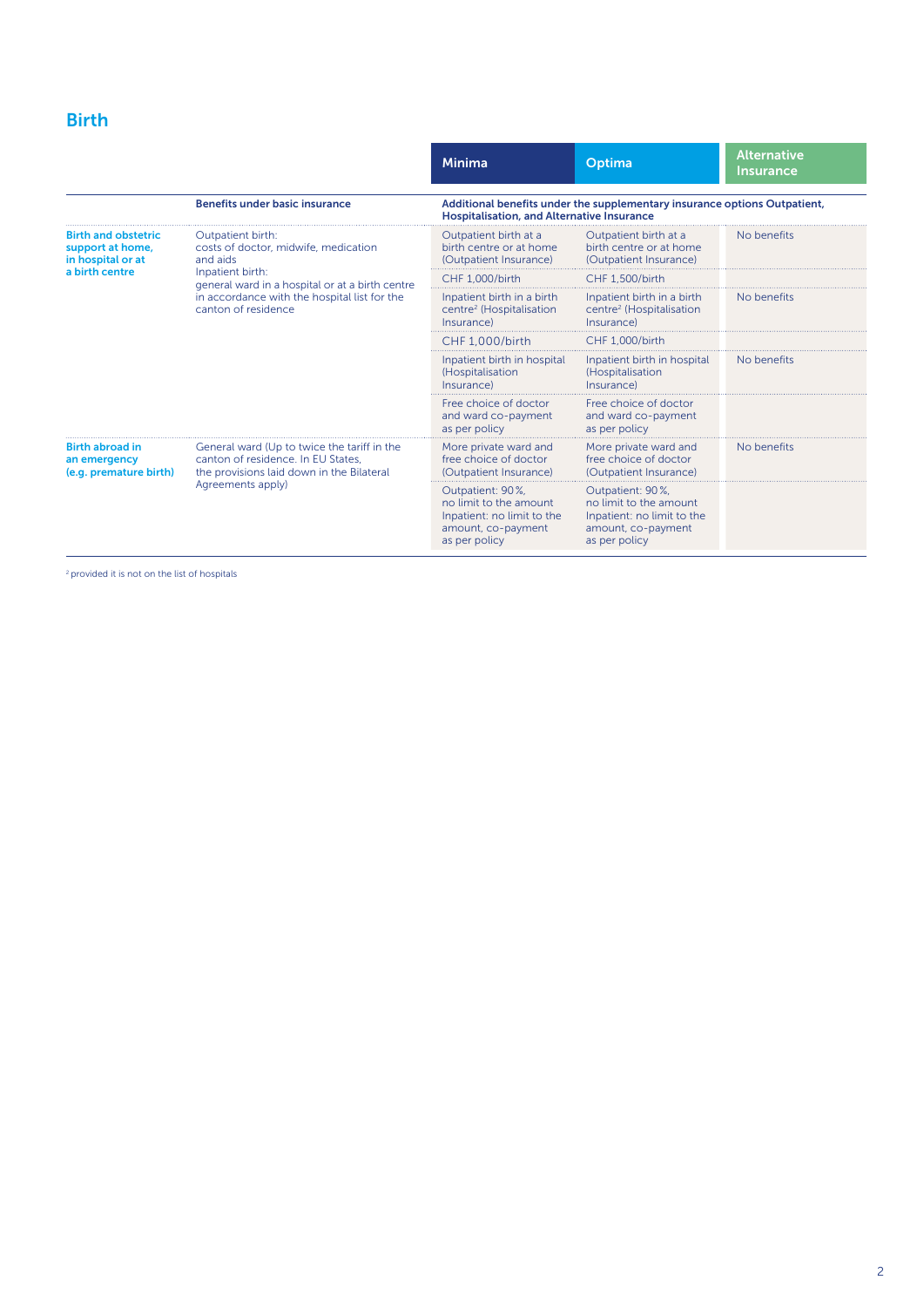# Birth

|                                                                                       |                                                                                                                                                                                                                     | <b>Minima</b>                                                                                                                  | Optima                                                                                                          | <b>Alternative</b><br><b>Insurance</b> |  |
|---------------------------------------------------------------------------------------|---------------------------------------------------------------------------------------------------------------------------------------------------------------------------------------------------------------------|--------------------------------------------------------------------------------------------------------------------------------|-----------------------------------------------------------------------------------------------------------------|----------------------------------------|--|
|                                                                                       | <b>Benefits under basic insurance</b>                                                                                                                                                                               | Additional benefits under the supplementary insurance options Outpatient,<br><b>Hospitalisation, and Alternative Insurance</b> |                                                                                                                 |                                        |  |
| <b>Birth and obstetric</b><br>support at home,<br>in hospital or at<br>a birth centre | Outpatient birth:<br>costs of doctor, midwife, medication<br>and aids<br>Inpatient birth:<br>general ward in a hospital or at a birth centre<br>in accordance with the hospital list for the<br>canton of residence | Outpatient birth at a<br>birth centre or at home<br>(Outpatient Insurance)                                                     | Outpatient birth at a<br>birth centre or at home<br>(Outpatient Insurance)                                      | No benefits                            |  |
|                                                                                       |                                                                                                                                                                                                                     | <b>CHF 1.000/birth</b>                                                                                                         | <b>CHF 1.500/birth</b>                                                                                          |                                        |  |
|                                                                                       |                                                                                                                                                                                                                     | Inpatient birth in a birth<br>centre <sup>2</sup> (Hospitalisation<br>Insurance)                                               | Inpatient birth in a birth<br>centre <sup>2</sup> (Hospitalisation<br>Insurance)                                | No benefits                            |  |
|                                                                                       |                                                                                                                                                                                                                     | CHF 1.000/birth                                                                                                                | CHF 1.000/birth                                                                                                 |                                        |  |
|                                                                                       |                                                                                                                                                                                                                     | Inpatient birth in hospital<br>(Hospitalisation<br>Insurance)                                                                  | Inpatient birth in hospital<br>(Hospitalisation<br>Insurance)                                                   | No benefits                            |  |
|                                                                                       |                                                                                                                                                                                                                     | Free choice of doctor<br>and ward co-payment<br>as per policy                                                                  | Free choice of doctor<br>and ward co-payment<br>as per policy                                                   |                                        |  |
| <b>Birth abroad in</b><br>an emergency<br>(e.g. premature birth)                      | General ward (Up to twice the tariff in the<br>canton of residence. In EU States.<br>the provisions laid down in the Bilateral<br>Agreements apply)                                                                 | More private ward and<br>free choice of doctor<br>(Outpatient Insurance)                                                       | More private ward and<br>free choice of doctor<br>(Outpatient Insurance)                                        | No benefits                            |  |
|                                                                                       |                                                                                                                                                                                                                     | Outpatient: 90%,<br>no limit to the amount<br>Inpatient: no limit to the<br>amount, co-payment<br>as per policy                | Outpatient: 90%,<br>no limit to the amount<br>Inpatient: no limit to the<br>amount, co-payment<br>as per policy |                                        |  |

<sup>2</sup> provided it is not on the list of hospitals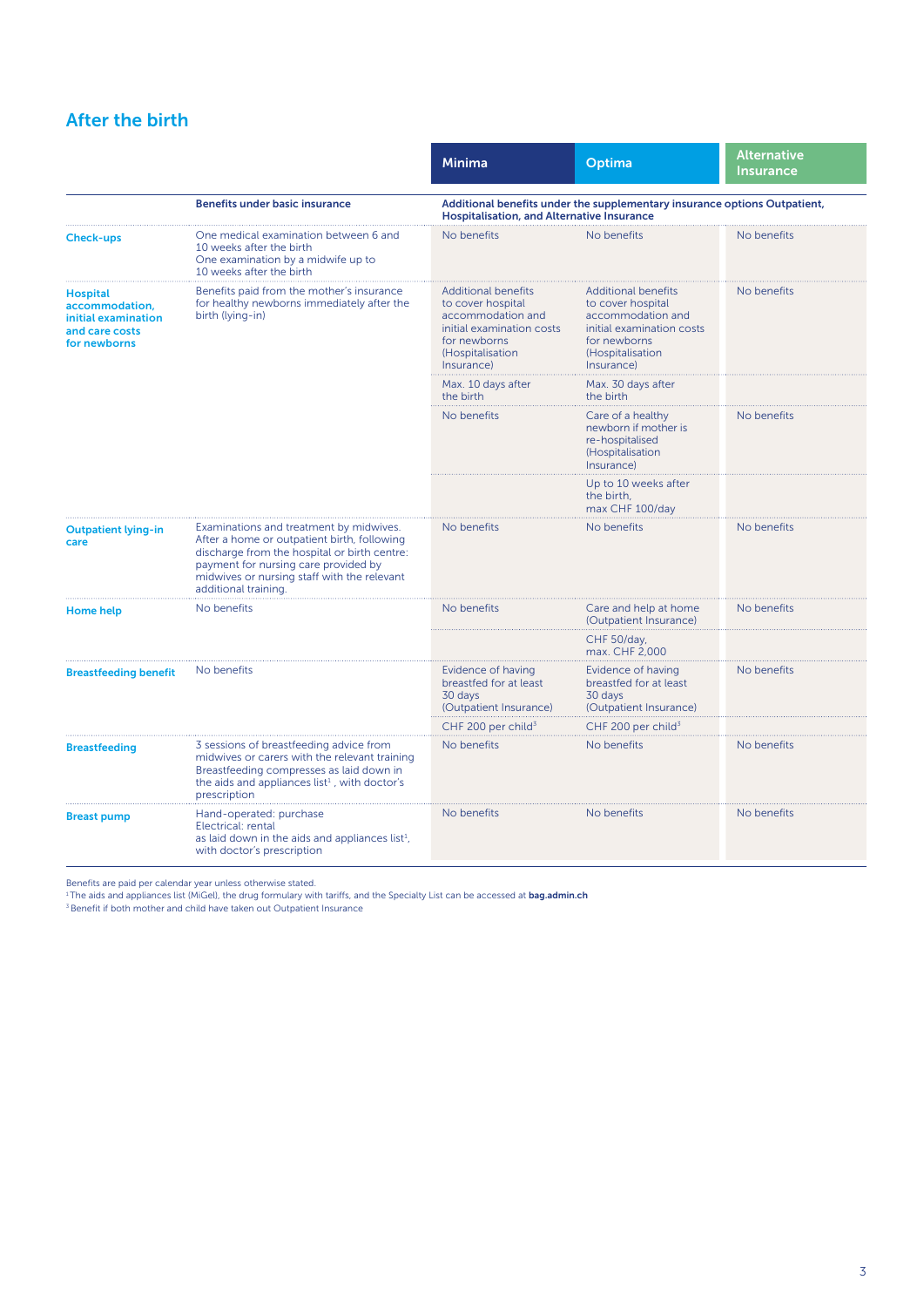## After the birth

|                                                                                            |                                                                                                                                                                                                                                                       | <b>Minima</b>                                                                                                                                       | Optima                                                                                                                                              | Alternative<br><b>Insurance</b> |  |
|--------------------------------------------------------------------------------------------|-------------------------------------------------------------------------------------------------------------------------------------------------------------------------------------------------------------------------------------------------------|-----------------------------------------------------------------------------------------------------------------------------------------------------|-----------------------------------------------------------------------------------------------------------------------------------------------------|---------------------------------|--|
|                                                                                            | <b>Benefits under basic insurance</b>                                                                                                                                                                                                                 | Additional benefits under the supplementary insurance options Outpatient,<br><b>Hospitalisation, and Alternative Insurance</b>                      |                                                                                                                                                     |                                 |  |
| <b>Check-ups</b>                                                                           | One medical examination between 6 and<br>10 weeks after the birth<br>One examination by a midwife up to<br>10 weeks after the birth                                                                                                                   | No benefits                                                                                                                                         | No benefits                                                                                                                                         | No benefits                     |  |
| <b>Hospital</b><br>accommodation,<br>initial examination<br>and care costs<br>for newborns | Benefits paid from the mother's insurance<br>for healthy newborns immediately after the<br>birth (lying-in)                                                                                                                                           | <b>Additional benefits</b><br>to cover hospital<br>accommodation and<br>initial examination costs<br>for newborns<br>(Hospitalisation<br>Insurance) | <b>Additional benefits</b><br>to cover hospital<br>accommodation and<br>initial examination costs<br>for newborns<br>(Hospitalisation<br>Insurance) | No benefits                     |  |
|                                                                                            |                                                                                                                                                                                                                                                       | Max. 10 days after<br>the birth                                                                                                                     | Max. 30 days after<br>the birth                                                                                                                     |                                 |  |
|                                                                                            |                                                                                                                                                                                                                                                       | No benefits                                                                                                                                         | Care of a healthy<br>newborn if mother is<br>re-hospitalised<br>(Hospitalisation<br>Insurance)                                                      | No benefits                     |  |
|                                                                                            |                                                                                                                                                                                                                                                       |                                                                                                                                                     | Up to 10 weeks after<br>the birth,<br>max CHF 100/day                                                                                               |                                 |  |
| <b>Outpatient lying-in</b><br>care                                                         | Examinations and treatment by midwives.<br>After a home or outpatient birth, following<br>discharge from the hospital or birth centre:<br>payment for nursing care provided by<br>midwives or nursing staff with the relevant<br>additional training. | No benefits                                                                                                                                         | No benefits                                                                                                                                         | No benefits                     |  |
| Home help                                                                                  | No benefits                                                                                                                                                                                                                                           | No benefits                                                                                                                                         | Care and help at home<br>(Outpatient Insurance)                                                                                                     | No benefits                     |  |
|                                                                                            |                                                                                                                                                                                                                                                       |                                                                                                                                                     | CHF 50/day,<br>max. CHF 2,000                                                                                                                       |                                 |  |
| <b>Breastfeeding benefit</b>                                                               | No benefits                                                                                                                                                                                                                                           | Evidence of having<br>breastfed for at least<br>30 days<br>(Outpatient Insurance)                                                                   | Evidence of having<br>breastfed for at least<br>30 days<br>(Outpatient Insurance)                                                                   | No benefits                     |  |
|                                                                                            |                                                                                                                                                                                                                                                       | CHF 200 per child <sup>3</sup>                                                                                                                      | CHF 200 per child <sup>3</sup>                                                                                                                      |                                 |  |
| <b>Breastfeeding</b>                                                                       | 3 sessions of breastfeeding advice from<br>midwives or carers with the relevant training<br>Breastfeeding compresses as laid down in<br>the aids and appliances list <sup>1</sup> , with doctor's<br>prescription                                     | No benefits                                                                                                                                         | No benefits                                                                                                                                         | No benefits                     |  |
| <b>Breast pump</b>                                                                         | Hand-operated: purchase<br>Electrical: rental<br>as laid down in the aids and appliances list <sup>1</sup> ,<br>with doctor's prescription                                                                                                            | No benefits                                                                                                                                         | No benefits                                                                                                                                         | No benefits                     |  |

Benefits are paid per calendar year unless otherwise stated.<br><sup>1</sup> The aids and appliances list (MiGel), the drug formulary with tariffs, and the Specialty List can be accessed at **[bag.admin.ch](http://www.bag.admin.ch)** 

<sup>3</sup> Benefit if both mother and child have taken out Outpatient Insurance